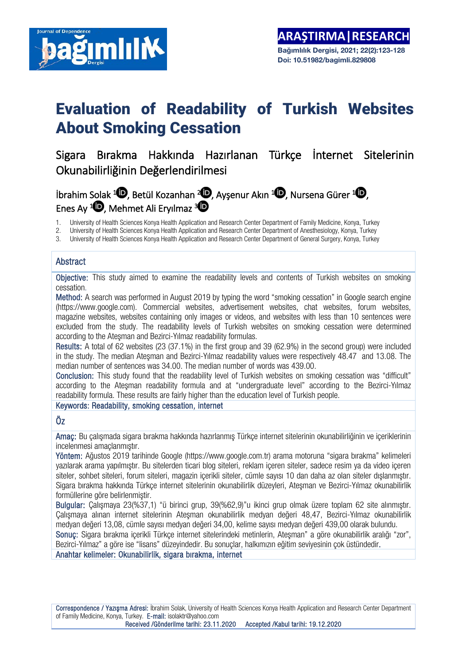

# Evaluation of Readability of Turkish Websites About Smoking Cessation

Sigara Bırakma Hakkında Hazırlanan Türkçe İnternet Sitelerinin Okunabilirliğinin Değerlendirilmesi

# **İbrahim Solak <sup>1</sup>(D**[,](https://orcid.org/0000-0003-1971-6984) Betül Kozanhan <sup>2</sup>(D, Ayşenur Akın <sup>1</sup>(D, Nursena Gürer <sup>1</sup>(D, Enes Ay  $1\bullet$ [,](https://orcid.org/0000-0002-8351-1740) Mehmet Ali Eryılmaz  $3\bullet$

1. University of Health Sciences Konya Health Application and Research Center Department of Family Medicine, Konya, Turkey

2. University of Health Sciences Konya Health Application and Research Center Department of Anesthesiology, Konya, Turkey

3. University of Health Sciences Konya Health Application and Research Center Department of General Surgery, Konya, Turkey

### **Abstract**

Objective: This study aimed to examine the readability levels and contents of Turkish websites on smoking cessation.

Method: A search was performed in August 2019 by typing the word "smoking cessation" in Google search engine (https://www.google.com). Commercial websites, advertisement websites, chat websites, forum websites, magazine websites, websites containing only images or videos, and websites with less than 10 sentences were excluded from the study. The readability levels of Turkish websites on smoking cessation were determined according to the Ateşman and Bezirci-Yılmaz readability formulas.

Results: A total of 62 websites (23 (37.1%) in the first group and 39 (62.9%) in the second group) were included in the study. The median Ateşman and Bezirci-Yılmaz readability values were respectively 48.47 and 13.08. The median number of sentences was 34.00. The median number of words was 439.00.

Conclusion: This study found that the readability level of Turkish websites on smoking cessation was "difficult" according to the Ateşman readability formula and at "undergraduate level" according to the Bezirci-Yılmaz readability formula. These results are fairly higher than the education level of Turkish people.

#### Keywords: Readability, smoking cessation, internet

### Öz

Amaç: Bu çalışmada sigara bırakma hakkında hazırlanmış Türkçe internet sitelerinin okunabilirliğinin ve içeriklerinin incelenmesi amaçlanmıştır.

Yöntem: Ağustos 2019 tarihinde Google (https://www.google.com.tr) arama motoruna "sigara bırakma" kelimeleri yazılarak arama yapılmıştır. Bu sitelerden ticari blog siteleri, reklam içeren siteler, sadece resim ya da video içeren siteler, sohbet siteleri, forum siteleri, magazin içerikli siteler, cümle sayısı 10 dan daha az olan siteler dışlanmıştır. Sigara bırakma hakkında Türkçe internet sitelerinin okunabilirlik düzeyleri, Ateşman ve Bezirci-Yılmaz okunabilirlik formüllerine göre belirlenmiştir.

Bulgular: Çalışmaya 23(%37,1) "ü birinci grup, 39(%62,9)"u ikinci grup olmak üzere toplam 62 site alınmıştır. Çalışmaya alınan internet sitelerinin Ateşman okunabilirlik medyan değeri 48,47, Bezirci-Yılmaz okunabilirlik medyan değeri 13,08, cümle sayısı medyan değeri 34,00, kelime sayısı medyan değeri 439,00 olarak bulundu. Sonuç: Sigara bırakma içerikli Türkçe internet sitelerindeki metinlerin, Ateşman" a göre okunabilirlik aralığı "zor", Bezirci-Yılmaz" a göre ise "lisans" düzeyindedir. Bu sonuçlar, halkımızın eğitim seviyesinin çok üstündedir.

Anahtar kelimeler: Okunabilirlik, sigara bırakma, internet

Correspondence / Yazışma Adresi: İbrahim Solak, University of Health Sciences Konya Health Application and Research Center Department of Family Medicine, Konya, Turkey. E-mail: isolaktr@yahoo.com Received /Gönderilme tarihi: 23.11.2020 Accepted /Kabul tarihi: 19.12.2020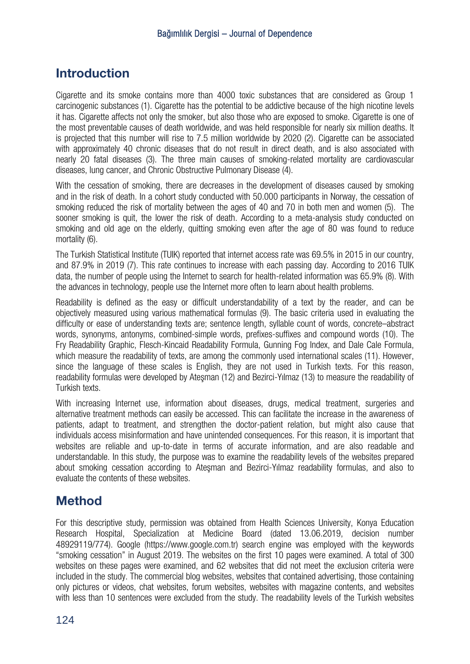# **Introduction**

Cigarette and its smoke contains more than 4000 toxic substances that are considered as Group 1 carcinogenic substances (1). Cigarette has the potential to be addictive because of the high nicotine levels it has. Cigarette affects not only the smoker, but also those who are exposed to smoke. Cigarette is one of the most preventable causes of death worldwide, and was held responsible for nearly six million deaths. It is projected that this number will rise to 7.5 million worldwide by 2020 (2). Cigarette can be associated with approximately 40 chronic diseases that do not result in direct death, and is also associated with nearly 20 fatal diseases (3). The three main causes of smoking-related mortality are cardiovascular diseases, lung cancer, and Chronic Obstructive Pulmonary Disease (4).

With the cessation of smoking, there are decreases in the development of diseases caused by smoking and in the risk of death. In a cohort study conducted with 50.000 participants in Norway, the cessation of smoking reduced the risk of mortality between the ages of 40 and 70 in both men and women (5). The sooner smoking is quit, the lower the risk of death. According to a meta-analysis study conducted on smoking and old age on the elderly, quitting smoking even after the age of 80 was found to reduce mortality (6).

The Turkish Statistical Institute (TUIK) reported that internet access rate was 69.5% in 2015 in our country, and 87.9% in 2019 (7). This rate continues to increase with each passing day. According to 2016 TUIK data, the number of people using the Internet to search for health-related information was 65.9% (8). With the advances in technology, people use the Internet more often to learn about health problems.

Readability is defined as the easy or difficult understandability of a text by the reader, and can be objectively measured using various mathematical formulas (9). The basic criteria used in evaluating the difficulty or ease of understanding texts are; sentence length, syllable count of words, concrete–abstract words, synonyms, antonyms, combined-simple words, prefixes-suffixes and compound words (10). The Fry Readability Graphic, Flesch-Kincaid Readability Formula, Gunning Fog Index, and Dale Cale Formula, which measure the readability of texts, are among the commonly used international scales (11). However, since the language of these scales is English, they are not used in Turkish texts. For this reason, readability formulas were developed by Ateşman (12) and Bezirci-Yılmaz (13) to measure the readability of Turkish texts.

With increasing Internet use, information about diseases, drugs, medical treatment, surgeries and alternative treatment methods can easily be accessed. This can facilitate the increase in the awareness of patients, adapt to treatment, and strengthen the doctor-patient relation, but might also cause that individuals access misinformation and have unintended consequences. For this reason, it is important that websites are reliable and up-to-date in terms of accurate information, and are also readable and understandable. In this study, the purpose was to examine the readability levels of the websites prepared about smoking cessation according to Ateşman and Bezirci-Yılmaz readability formulas, and also to evaluate the contents of these websites.

# Method

For this descriptive study, permission was obtained from Health Sciences University, Konya Education Research Hospital, Specialization at Medicine Board (dated 13.06.2019, decision number 48929119/774). Google (https://www.google.com.tr) search engine was employed with the keywords "smoking cessation" in August 2019. The websites on the first 10 pages were examined. A total of 300 websites on these pages were examined, and 62 websites that did not meet the exclusion criteria were included in the study. The commercial blog websites, websites that contained advertising, those containing only pictures or videos, chat websites, forum websites, websites with magazine contents, and websites with less than 10 sentences were excluded from the study. The readability levels of the Turkish websites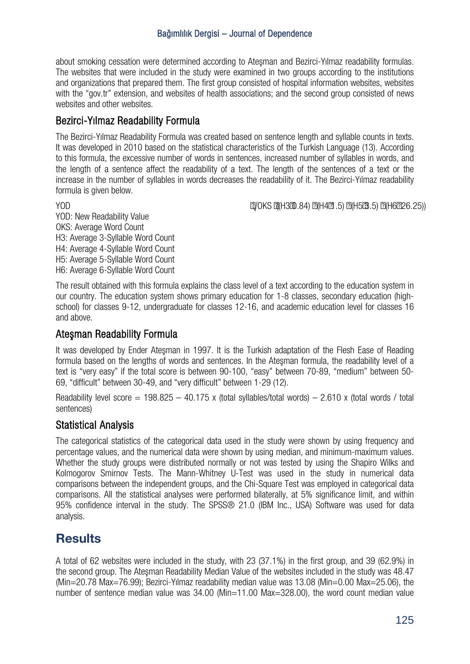about smoking cessation were determined according to Ateşman and Bezirci-Yılmaz readability formulas. The websites that were included in the study were examined in two groups according to the institutions and organizations that prepared them. The first group consisted of hospital information websites, websites with the "gov.tr" extension, and websites of health associations; and the second group consisted of news websites and other websites.

## Bezirci-Yılmaz Readability Formula

The Bezirci-Yılmaz Readability Formula was created based on sentence length and syllable counts in texts. It was developed in 2010 based on the statistical characteristics of the Turkish Language (13). According to this formula, the excessive number of words in sentences, increased number of syllables in words, and the length of a sentence affect the readability of a text. The length of the sentences of a text or the increase in the number of syllables in words decreases the readability of it. The Bezirci-Yılmaz readability formula is given below.

YOD √OKS ((H3 0.84) (H4 1.5) (H5 3.5) (H6 26.25))

YOD: New Readability Value OKS: Average Word Count H3: Average 3-Syllable Word Count H4: Average 4-Syllable Word Count H5: Average 5-Syllable Word Count H6: Average 6-Syllable Word Count

The result obtained with this formula explains the class level of a text according to the education system in our country. The education system shows primary education for 1-8 classes, secondary education (highschool) for classes 9-12, undergraduate for classes 12-16, and academic education level for classes 16 and above.

## Ateşman Readability Formula

It was developed by Ender Ateşman in 1997. It is the Turkish adaptation of the Flesh Ease of Reading formula based on the lengths of words and sentences. In the Atesman formula, the readability level of a text is "very easy" if the total score is between 90-100, "easy" between 70-89, "medium" between 50- 69, "difficult" between 30-49, and "very difficult" between 1-29 (12).

Readability level score = 198.825 – 40.175 x (total syllables/total words) – 2.610 x (total words / total sentences)

### Statistical Analysis

The categorical statistics of the categorical data used in the study were shown by using frequency and percentage values, and the numerical data were shown by using median, and minimum-maximum values. Whether the study groups were distributed normally or not was tested by using the Shapiro Wilks and Kolmogorov Smirnov Tests. The Mann-Whitney U-Test was used in the study in numerical data comparisons between the independent groups, and the Chi-Square Test was employed in categorical data comparisons. All the statistical analyses were performed bilaterally, at 5% significance limit, and within 95% confidence interval in the study. The SPSS® 21.0 (IBM Inc., USA) Software was used for data analysis.

# **Results**

A total of 62 websites were included in the study, with 23 (37.1%) in the first group, and 39 (62.9%) in the second group. The Ateşman Readability Median Value of the websites included in the study was 48.47 (Min=20.78 Max=76.99); Bezirci-Yılmaz readability median value was 13.08 (Min=0.00 Max=25.06), the number of sentence median value was 34.00 (Min=11.00 Max=328.00), the word count median value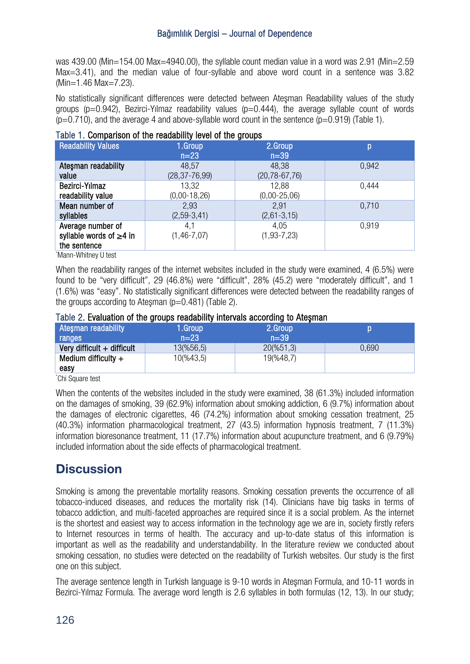was 439.00 (Min=154.00 Max=4940.00), the syllable count median value in a word was 2.91 (Min=2.59 Max=3.41), and the median value of four-syllable and above word count in a sentence was 3.82 (Min=1.46 Max=7.23).

No statistically significant differences were detected between Ateşman Readability values of the study groups ( $p=0.942$ ), Bezirci-Yilmaz readability values ( $p=0.444$ ), the average syllable count of words  $(p=0.710)$ , and the average 4 and above-syllable word count in the sentence  $(p=0.919)$  (Table 1).

| Table 1. Comparison of the readability level of the groups         |                          |                           |       |  |  |
|--------------------------------------------------------------------|--------------------------|---------------------------|-------|--|--|
| <b>Readability Values</b>                                          | 1.Group<br>$n=23$        | 2.Group<br>$n=39$         | р     |  |  |
| Atesman readability                                                | 48,57                    | 48,38                     | 0,942 |  |  |
| value                                                              | $(28, 37 - 76, 99)$      | $(20, 78 - 67, 76)$       |       |  |  |
| Bezirci-Yılmaz                                                     | 13,32                    | 12,88                     | 0,444 |  |  |
| readability value                                                  | $(0,00-18,26)$           | $(0,00-25,06)$            |       |  |  |
| Mean number of                                                     | 2,93                     | 2,91                      | 0,710 |  |  |
| syllables                                                          | $(2,59-3,41)$            | $(2,61-3,15)$             |       |  |  |
| Average number of<br>syllable words of $\geq 4$ in<br>the sentence | 4,1<br>$(1, 46 - 7, 07)$ | 4,05<br>$(1, 93 - 7, 23)$ | 0.919 |  |  |

\* Mann-Whitney U test

When the readability ranges of the internet websites included in the study were examined, 4 (6.5%) were found to be "very difficult", 29 (46.8%) were "difficult", 28% (45.2) were "moderately difficult", and 1 (1.6%) was "easy". No statistically significant differences were detected between the readability ranges of the groups according to Atesman  $(p=0.481)$  (Table 2).

|                     |            | Table 2. Evaluation of the groups readability intervals according to Atesman |  |
|---------------------|------------|------------------------------------------------------------------------------|--|
| Atesman readability | \1.Group \ | 2.Group                                                                      |  |
| ranges              | $n = 23$   | $n = 39$                                                                     |  |

| <b>ALGSITIALI FRAUDILITY</b> | <b>T.aroup</b> | Z.uroup       |       |
|------------------------------|----------------|---------------|-------|
| ranges                       | $n=23$         | .n=39'        |       |
| Very difficult $+$ difficult | 13(%56,5)      | $20\,(%51,3)$ | 0.690 |
| Medium difficulty $+$        | 10(%43,5)      | 19(%48,7)     |       |
| easy                         |                |               |       |

\* Chi Square test

When the contents of the websites included in the study were examined, 38 (61.3%) included information on the damages of smoking, 39 (62.9%) information about smoking addiction, 6 (9.7%) information about the damages of electronic cigarettes, 46 (74.2%) information about smoking cessation treatment, 25 (40.3%) information pharmacological treatment, 27 (43.5) information hypnosis treatment, 7 (11.3%) information bioresonance treatment, 11 (17.7%) information about acupuncture treatment, and 6 (9.79%) included information about the side effects of pharmacological treatment.

# **Discussion**

Smoking is among the preventable mortality reasons. Smoking cessation prevents the occurrence of all tobacco-induced diseases, and reduces the mortality risk (14). Clinicians have big tasks in terms of tobacco addiction, and multi-faceted approaches are required since it is a social problem. As the internet is the shortest and easiest way to access information in the technology age we are in, society firstly refers to Internet resources in terms of health. The accuracy and up-to-date status of this information is important as well as the readability and understandability. In the literature review we conducted about smoking cessation, no studies were detected on the readability of Turkish websites. Our study is the first one on this subject.

The average sentence length in Turkish language is 9-10 words in Ateşman Formula, and 10-11 words in Bezirci-Yilmaz Formula. The average word length is 2.6 syllables in both formulas (12, 13). In our study: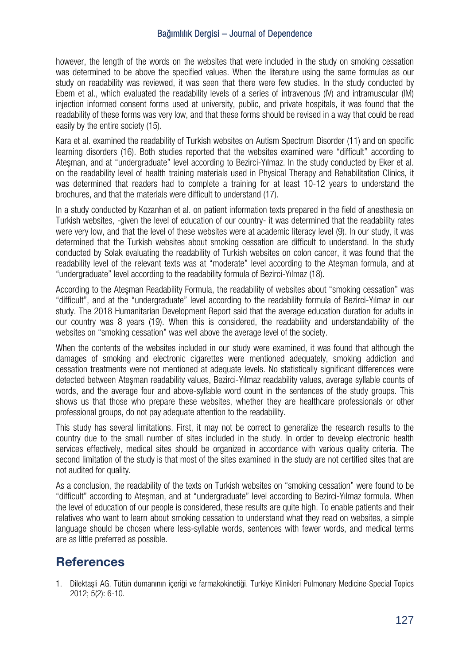however, the length of the words on the websites that were included in the study on smoking cessation was determined to be above the specified values. When the literature using the same formulas as our study on readability was reviewed, it was seen that there were few studies. In the study conducted by Ebem et al., which evaluated the readability levels of a series of intravenous (IV) and intramuscular (IM) iniection informed consent forms used at university, public, and private hospitals, it was found that the readability of these forms was very low, and that these forms should be revised in a way that could be read easily by the entire society (15).

Kara et al. examined the readability of Turkish websites on Autism Spectrum Disorder (11) and on specific learning disorders (16). Both studies reported that the websites examined were "difficult" according to Ateşman, and at "undergraduate" level according to Bezirci-Yılmaz. In the study conducted by Eker et al. on the readability level of health training materials used in Physical Therapy and Rehabilitation Clinics, it was determined that readers had to complete a training for at least 10-12 years to understand the brochures, and that the materials were difficult to understand (17).

In a study conducted by Kozanhan et al. on patient information texts prepared in the field of anesthesia on Turkish websites, -given the level of education of our country- it was determined that the readability rates were very low, and that the level of these websites were at academic literacy level (9). In our study, it was determined that the Turkish websites about smoking cessation are difficult to understand. In the study conducted by Solak evaluating the readability of Turkish websites on colon cancer, it was found that the readability level of the relevant texts was at "moderate" level according to the Ateşman formula, and at "undergraduate" level according to the readability formula of Bezirci-Yılmaz (18).

According to the Ateşman Readability Formula, the readability of websites about "smoking cessation" was "difficult", and at the "undergraduate" level according to the readability formula of Bezirci-Yılmaz in our study. The 2018 Humanitarian Development Report said that the average education duration for adults in our country was 8 years (19). When this is considered, the readability and understandability of the websites on "smoking cessation" was well above the average level of the society.

When the contents of the websites included in our study were examined, it was found that although the damages of smoking and electronic cigarettes were mentioned adequately, smoking addiction and cessation treatments were not mentioned at adequate levels. No statistically significant differences were detected between Ateşman readability values, Bezirci-Yılmaz readability values, average syllable counts of words, and the average four and above-syllable word count in the sentences of the study groups. This shows us that those who prepare these websites, whether they are healthcare professionals or other professional groups, do not pay adequate attention to the readability.

This study has several limitations. First, it may not be correct to generalize the research results to the country due to the small number of sites included in the study. In order to develop electronic health services effectively, medical sites should be organized in accordance with various quality criteria. The second limitation of the study is that most of the sites examined in the study are not certified sites that are not audited for quality.

As a conclusion, the readability of the texts on Turkish websites on "smoking cessation" were found to be "difficult" according to Ateşman, and at "undergraduate" level according to Bezirci-Yılmaz formula. When the level of education of our people is considered, these results are quite high. To enable patients and their relatives who want to learn about smoking cessation to understand what they read on websites, a simple language should be chosen where less-syllable words, sentences with fewer words, and medical terms are as little preferred as possible.

# **References**

1. Dilektaşli AG. Tütün dumanının içeriği ve farmakokinetiği. Turkiye Klinikleri Pulmonary Medicine-Special Topics 2012; 5(2): 6-10.